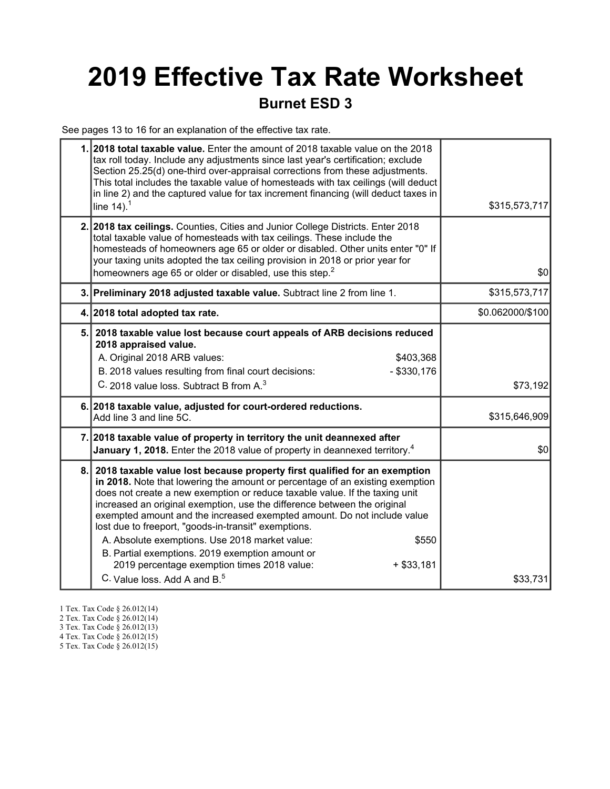# 2019 Effective Tax Rate Worksheet

### Burnet ESD 3

See pages 13 to 16 for an explanation of the effective tax rate.

|     | 1. 2018 total taxable value. Enter the amount of 2018 taxable value on the 2018<br>tax roll today. Include any adjustments since last year's certification; exclude<br>Section 25.25(d) one-third over-appraisal corrections from these adjustments.<br>This total includes the taxable value of homesteads with tax ceilings (will deduct<br>in line 2) and the captured value for tax increment financing (will deduct taxes in<br>line $14$ ). <sup>1</sup>                                                                                                                                                                                                                   | \$315,573,717    |
|-----|----------------------------------------------------------------------------------------------------------------------------------------------------------------------------------------------------------------------------------------------------------------------------------------------------------------------------------------------------------------------------------------------------------------------------------------------------------------------------------------------------------------------------------------------------------------------------------------------------------------------------------------------------------------------------------|------------------|
|     | 2. 2018 tax ceilings. Counties, Cities and Junior College Districts. Enter 2018<br>total taxable value of homesteads with tax ceilings. These include the<br>homesteads of homeowners age 65 or older or disabled. Other units enter "0" If<br>your taxing units adopted the tax ceiling provision in 2018 or prior year for<br>homeowners age 65 or older or disabled, use this step. <sup>2</sup>                                                                                                                                                                                                                                                                              | \$0              |
|     | 3. Preliminary 2018 adjusted taxable value. Subtract line 2 from line 1.                                                                                                                                                                                                                                                                                                                                                                                                                                                                                                                                                                                                         | \$315,573,717    |
|     | 4. 2018 total adopted tax rate.                                                                                                                                                                                                                                                                                                                                                                                                                                                                                                                                                                                                                                                  | \$0.062000/\$100 |
| 5.1 | 2018 taxable value lost because court appeals of ARB decisions reduced<br>2018 appraised value.<br>A. Original 2018 ARB values:<br>\$403,368<br>B. 2018 values resulting from final court decisions:<br>$-$ \$330,176<br>C. 2018 value loss. Subtract B from A. <sup>3</sup>                                                                                                                                                                                                                                                                                                                                                                                                     | \$73,192         |
|     | 6. 2018 taxable value, adjusted for court-ordered reductions.<br>Add line 3 and line 5C.                                                                                                                                                                                                                                                                                                                                                                                                                                                                                                                                                                                         | \$315,646,909    |
|     | 7. 2018 taxable value of property in territory the unit deannexed after<br><b>January 1, 2018.</b> Enter the 2018 value of property in deannexed territory. <sup>4</sup>                                                                                                                                                                                                                                                                                                                                                                                                                                                                                                         | \$0              |
| 8.  | 2018 taxable value lost because property first qualified for an exemption<br>in 2018. Note that lowering the amount or percentage of an existing exemption<br>does not create a new exemption or reduce taxable value. If the taxing unit<br>increased an original exemption, use the difference between the original<br>exempted amount and the increased exempted amount. Do not include value<br>lost due to freeport, "goods-in-transit" exemptions.<br>A. Absolute exemptions. Use 2018 market value:<br>\$550<br>B. Partial exemptions. 2019 exemption amount or<br>2019 percentage exemption times 2018 value:<br>$+ $33,181$<br>C. Value loss, Add A and B. <sup>5</sup> | \$33,731         |

- 1 Tex. Tax Code § 26.012(14)
- 2 Tex. Tax Code § 26.012(14)
- 3 Tex. Tax Code § 26.012(13)
- 4 Tex. Tax Code § 26.012(15)
- 5 Tex. Tax Code § 26.012(15)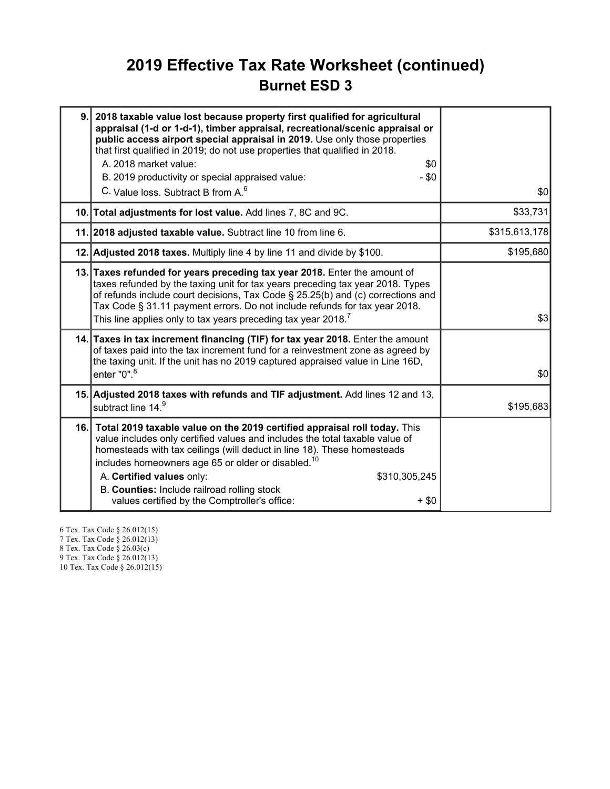### 2019 Effective Tax Rate Worksheet (continued) Burnet ESD 3

| 9.  | 2018 taxable value lost because property first qualified for agricultural<br>appraisal (1-d or 1-d-1), timber appraisal, recreational/scenic appraisal or<br>public access airport special appraisal in 2019. Use only those properties<br>that first qualified in 2019; do not use properties that qualified in 2018.<br>A. 2018 market value:<br>\$0<br>B. 2019 productivity or special appraised value:<br>- \$0<br>C. Value loss. Subtract B from A. <sup>6</sup> | \$0           |
|-----|-----------------------------------------------------------------------------------------------------------------------------------------------------------------------------------------------------------------------------------------------------------------------------------------------------------------------------------------------------------------------------------------------------------------------------------------------------------------------|---------------|
|     | 10. Total adjustments for lost value. Add lines 7, 8C and 9C.                                                                                                                                                                                                                                                                                                                                                                                                         | \$33,731      |
|     | 11. 2018 adjusted taxable value. Subtract line 10 from line 6.                                                                                                                                                                                                                                                                                                                                                                                                        | \$315,613,178 |
|     | 12. Adjusted 2018 taxes. Multiply line 4 by line 11 and divide by \$100.                                                                                                                                                                                                                                                                                                                                                                                              | \$195,680     |
|     | 13. Taxes refunded for years preceding tax year 2018. Enter the amount of<br>taxes refunded by the taxing unit for tax years preceding tax year 2018. Types<br>of refunds include court decisions, Tax Code § 25.25(b) and (c) corrections and<br>Tax Code § 31.11 payment errors. Do not include refunds for tax year 2018.<br>This line applies only to tax years preceding tax year 2018. <sup>7</sup>                                                             | \$3           |
|     | 14. Taxes in tax increment financing (TIF) for tax year 2018. Enter the amount<br>of taxes paid into the tax increment fund for a reinvestment zone as agreed by<br>the taxing unit. If the unit has no 2019 captured appraised value in Line 16D,<br>enter $"0"$ . $^8$                                                                                                                                                                                              | \$0           |
|     | 15. Adjusted 2018 taxes with refunds and TIF adjustment. Add lines 12 and 13,<br>subtract line 14.9                                                                                                                                                                                                                                                                                                                                                                   | \$195,683     |
| 16. | Total 2019 taxable value on the 2019 certified appraisal roll today. This<br>value includes only certified values and includes the total taxable value of<br>homesteads with tax ceilings (will deduct in line 18). These homesteads<br>includes homeowners age 65 or older or disabled. <sup>10</sup><br>A. Certified values only:<br>\$310,305,245<br>B. Counties: Include railroad rolling stock<br>values certified by the Comptroller's office:<br>$+$ \$0       |               |

6 Tex. Tax Code § 26.012(15) 7 Tex. Tax Code § 26.012(13) 8 Tex. Tax Code § 26.03(c)

9 Tex. Tax Code § 26.012(13)

10 Tex. Tax Code § 26.012(15)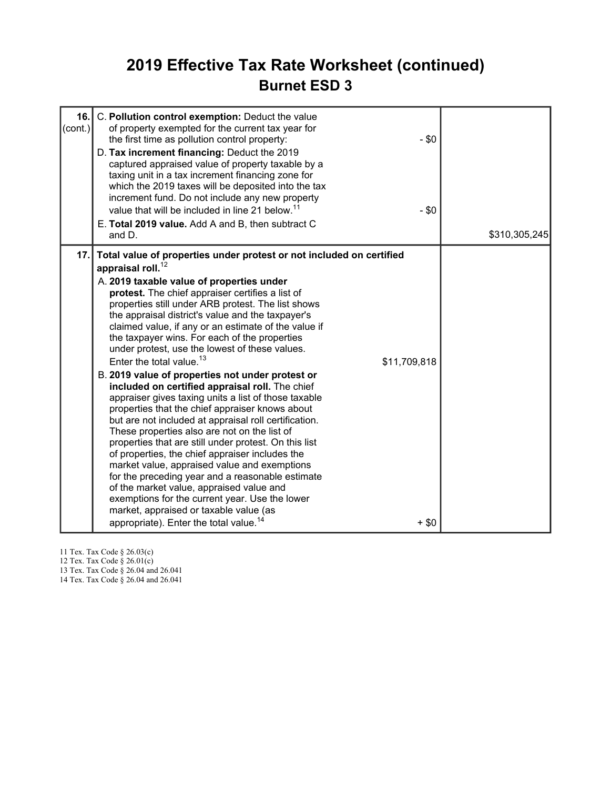### 2019 Effective Tax Rate Worksheet (continued) Burnet ESD 3

| 16.<br>(cont.) | C. Pollution control exemption: Deduct the value<br>of property exempted for the current tax year for<br>$-$ \$0<br>the first time as pollution control property:<br>D. Tax increment financing: Deduct the 2019<br>captured appraised value of property taxable by a<br>taxing unit in a tax increment financing zone for<br>which the 2019 taxes will be deposited into the tax<br>increment fund. Do not include any new property<br>value that will be included in line 21 below. <sup>11</sup><br>$-$ \$0<br>E. Total 2019 value. Add A and B, then subtract C<br>and D.                                                                                                                                                                                                                                                                                                                                                                                                                                                                                                                                                                                                                                                                                             | \$310,305,245 |
|----------------|---------------------------------------------------------------------------------------------------------------------------------------------------------------------------------------------------------------------------------------------------------------------------------------------------------------------------------------------------------------------------------------------------------------------------------------------------------------------------------------------------------------------------------------------------------------------------------------------------------------------------------------------------------------------------------------------------------------------------------------------------------------------------------------------------------------------------------------------------------------------------------------------------------------------------------------------------------------------------------------------------------------------------------------------------------------------------------------------------------------------------------------------------------------------------------------------------------------------------------------------------------------------------|---------------|
| 17.1           | Total value of properties under protest or not included on certified<br>appraisal roll. $^{12}$<br>A. 2019 taxable value of properties under<br>protest. The chief appraiser certifies a list of<br>properties still under ARB protest. The list shows<br>the appraisal district's value and the taxpayer's<br>claimed value, if any or an estimate of the value if<br>the taxpayer wins. For each of the properties<br>under protest, use the lowest of these values.<br>Enter the total value. $13$<br>\$11,709,818<br>B. 2019 value of properties not under protest or<br>included on certified appraisal roll. The chief<br>appraiser gives taxing units a list of those taxable<br>properties that the chief appraiser knows about<br>but are not included at appraisal roll certification.<br>These properties also are not on the list of<br>properties that are still under protest. On this list<br>of properties, the chief appraiser includes the<br>market value, appraised value and exemptions<br>for the preceding year and a reasonable estimate<br>of the market value, appraised value and<br>exemptions for the current year. Use the lower<br>market, appraised or taxable value (as<br>appropriate). Enter the total value. <sup>14</sup><br>$+$ \$0 |               |

11 Tex. Tax Code § 26.03(c)

12 Tex. Tax Code § 26.01(c)

13 Tex. Tax Code § 26.04 and 26.041

14 Tex. Tax Code § 26.04 and 26.041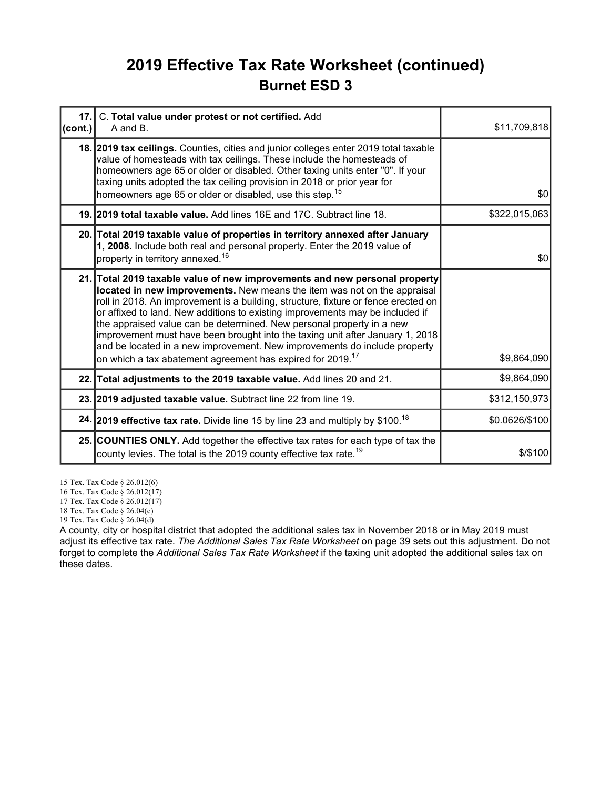### 2019 Effective Tax Rate Worksheet (continued) Burnet ESD 3

| cont. | 17. C. Total value under protest or not certified. Add<br>A and B.                                                                                                                                                                                                                                                                                                                                                                                                                                                                                                                                                                             | \$11,709,818   |
|-------|------------------------------------------------------------------------------------------------------------------------------------------------------------------------------------------------------------------------------------------------------------------------------------------------------------------------------------------------------------------------------------------------------------------------------------------------------------------------------------------------------------------------------------------------------------------------------------------------------------------------------------------------|----------------|
|       | 18. 2019 tax ceilings. Counties, cities and junior colleges enter 2019 total taxable<br>value of homesteads with tax ceilings. These include the homesteads of<br>homeowners age 65 or older or disabled. Other taxing units enter "0". If your<br>taxing units adopted the tax ceiling provision in 2018 or prior year for<br>homeowners age 65 or older or disabled, use this step. <sup>15</sup>                                                                                                                                                                                                                                            | \$0            |
|       | 19. 2019 total taxable value. Add lines 16E and 17C. Subtract line 18.                                                                                                                                                                                                                                                                                                                                                                                                                                                                                                                                                                         | \$322,015,063  |
|       | 20. Total 2019 taxable value of properties in territory annexed after January<br>1, 2008. Include both real and personal property. Enter the 2019 value of<br>property in territory annexed. <sup>16</sup>                                                                                                                                                                                                                                                                                                                                                                                                                                     | \$0            |
|       | 21. Total 2019 taxable value of new improvements and new personal property<br>located in new improvements. New means the item was not on the appraisal<br>roll in 2018. An improvement is a building, structure, fixture or fence erected on<br>or affixed to land. New additions to existing improvements may be included if<br>the appraised value can be determined. New personal property in a new<br>improvement must have been brought into the taxing unit after January 1, 2018<br>and be located in a new improvement. New improvements do include property<br>on which a tax abatement agreement has expired for 2019. <sup>17</sup> | \$9,864,090    |
|       | 22. Total adjustments to the 2019 taxable value. Add lines 20 and 21.                                                                                                                                                                                                                                                                                                                                                                                                                                                                                                                                                                          | \$9,864,090    |
|       | 23. 2019 adjusted taxable value. Subtract line 22 from line 19.                                                                                                                                                                                                                                                                                                                                                                                                                                                                                                                                                                                | \$312,150,973  |
|       | 24. 2019 effective tax rate. Divide line 15 by line 23 and multiply by \$100. <sup>18</sup>                                                                                                                                                                                                                                                                                                                                                                                                                                                                                                                                                    | \$0.0626/\$100 |
|       | 25. COUNTIES ONLY. Add together the effective tax rates for each type of tax the<br>county levies. The total is the 2019 county effective tax rate. <sup>19</sup>                                                                                                                                                                                                                                                                                                                                                                                                                                                                              | $$$ / $$$ 100  |

15 Tex. Tax Code § 26.012(6)

16 Tex. Tax Code § 26.012(17)

17 Tex. Tax Code § 26.012(17)

18 Tex. Tax Code § 26.04(c)

19 Tex. Tax Code § 26.04(d)

A county, city or hospital district that adopted the additional sales tax in November 2018 or in May 2019 must adjust its effective tax rate. The Additional Sales Tax Rate Worksheet on page 39 sets out this adjustment. Do not forget to complete the Additional Sales Tax Rate Worksheet if the taxing unit adopted the additional sales tax on these dates.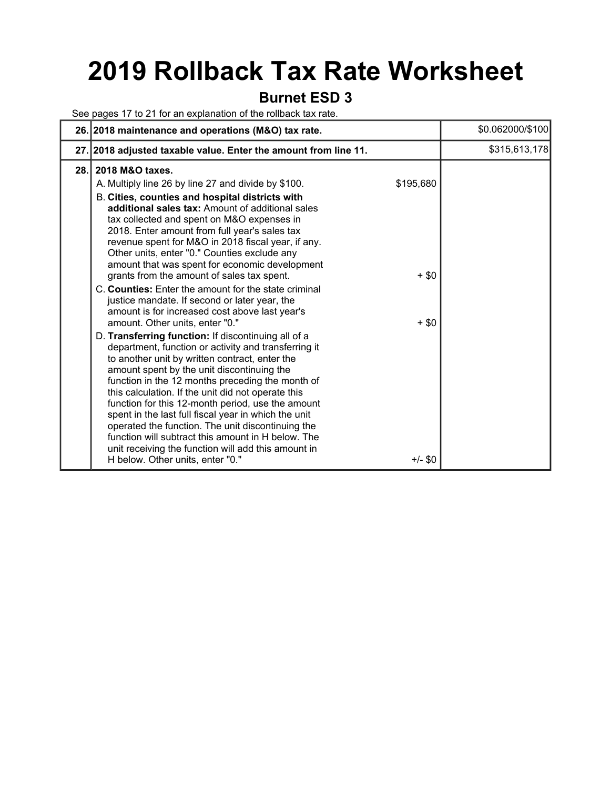## 2019 Rollback Tax Rate Worksheet

#### Burnet ESD 3

See pages 17 to 21 for an explanation of the rollback tax rate.

|     | 26. 2018 maintenance and operations (M&O) tax rate.                                                                                                                                                                                                                                                                                                                                                                                                                                                                                                                                                                                                                                                                                                                                                                                                                                                                                                                                                                                                                                                                                                                                                                                                                                      |                                 | \$0.062000/\$100 |
|-----|------------------------------------------------------------------------------------------------------------------------------------------------------------------------------------------------------------------------------------------------------------------------------------------------------------------------------------------------------------------------------------------------------------------------------------------------------------------------------------------------------------------------------------------------------------------------------------------------------------------------------------------------------------------------------------------------------------------------------------------------------------------------------------------------------------------------------------------------------------------------------------------------------------------------------------------------------------------------------------------------------------------------------------------------------------------------------------------------------------------------------------------------------------------------------------------------------------------------------------------------------------------------------------------|---------------------------------|------------------|
|     | 27. 2018 adjusted taxable value. Enter the amount from line 11.                                                                                                                                                                                                                                                                                                                                                                                                                                                                                                                                                                                                                                                                                                                                                                                                                                                                                                                                                                                                                                                                                                                                                                                                                          |                                 | \$315,613,178    |
| 28. | 2018 M&O taxes.<br>A. Multiply line 26 by line 27 and divide by \$100.<br>B. Cities, counties and hospital districts with<br>additional sales tax: Amount of additional sales<br>tax collected and spent on M&O expenses in<br>2018. Enter amount from full year's sales tax<br>revenue spent for M&O in 2018 fiscal year, if any.<br>Other units, enter "0." Counties exclude any<br>amount that was spent for economic development<br>grants from the amount of sales tax spent.<br>C. Counties: Enter the amount for the state criminal<br>justice mandate. If second or later year, the<br>amount is for increased cost above last year's<br>amount. Other units, enter "0."<br>D. Transferring function: If discontinuing all of a<br>department, function or activity and transferring it<br>to another unit by written contract, enter the<br>amount spent by the unit discontinuing the<br>function in the 12 months preceding the month of<br>this calculation. If the unit did not operate this<br>function for this 12-month period, use the amount<br>spent in the last full fiscal year in which the unit<br>operated the function. The unit discontinuing the<br>function will subtract this amount in H below. The<br>unit receiving the function will add this amount in | \$195,680<br>$+$ \$0<br>$+$ \$0 |                  |
|     | H below. Other units, enter "0."                                                                                                                                                                                                                                                                                                                                                                                                                                                                                                                                                                                                                                                                                                                                                                                                                                                                                                                                                                                                                                                                                                                                                                                                                                                         | $+/-$ \$0                       |                  |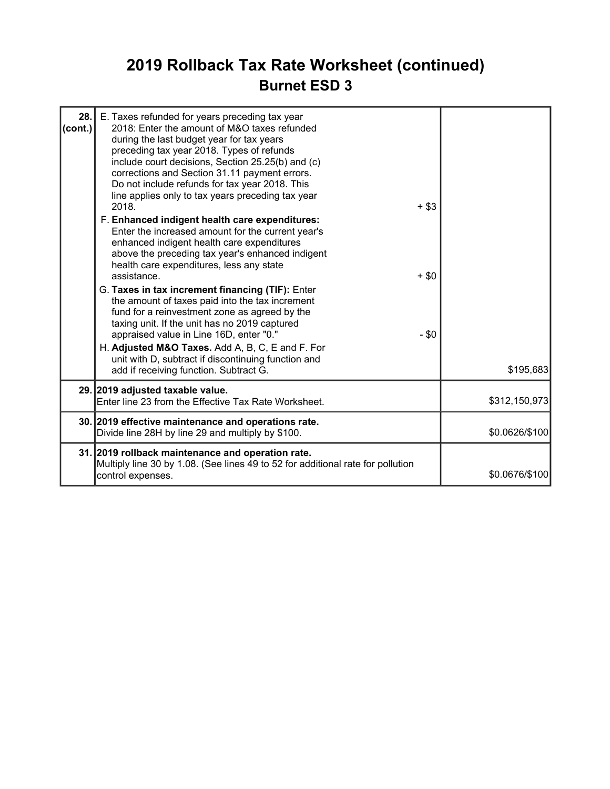## 2019 Rollback Tax Rate Worksheet (continued) Burnet ESD 3

| 28.1<br>$\text{(cont.)}$ | E. Taxes refunded for years preceding tax year<br>2018: Enter the amount of M&O taxes refunded<br>during the last budget year for tax years<br>preceding tax year 2018. Types of refunds<br>include court decisions, Section 25.25(b) and (c)<br>corrections and Section 31.11 payment errors.<br>Do not include refunds for tax year 2018. This<br>line applies only to tax years preceding tax year<br>2018.<br>F. Enhanced indigent health care expenditures:<br>Enter the increased amount for the current year's<br>enhanced indigent health care expenditures<br>above the preceding tax year's enhanced indigent<br>health care expenditures, less any state<br>assistance.<br>G. Taxes in tax increment financing (TIF): Enter<br>the amount of taxes paid into the tax increment<br>fund for a reinvestment zone as agreed by the<br>taxing unit. If the unit has no 2019 captured<br>appraised value in Line 16D, enter "0."<br>H. Adjusted M&O Taxes. Add A, B, C, E and F. For | $+$ \$3<br>$+$ \$0<br>$-$ \$0 |                |
|--------------------------|--------------------------------------------------------------------------------------------------------------------------------------------------------------------------------------------------------------------------------------------------------------------------------------------------------------------------------------------------------------------------------------------------------------------------------------------------------------------------------------------------------------------------------------------------------------------------------------------------------------------------------------------------------------------------------------------------------------------------------------------------------------------------------------------------------------------------------------------------------------------------------------------------------------------------------------------------------------------------------------------|-------------------------------|----------------|
|                          | unit with D, subtract if discontinuing function and<br>add if receiving function. Subtract G.                                                                                                                                                                                                                                                                                                                                                                                                                                                                                                                                                                                                                                                                                                                                                                                                                                                                                              |                               | \$195,683      |
|                          | 29. 2019 adjusted taxable value.<br>Enter line 23 from the Effective Tax Rate Worksheet.                                                                                                                                                                                                                                                                                                                                                                                                                                                                                                                                                                                                                                                                                                                                                                                                                                                                                                   |                               | \$312,150,973  |
|                          | 30. 2019 effective maintenance and operations rate.<br>Divide line 28H by line 29 and multiply by \$100.                                                                                                                                                                                                                                                                                                                                                                                                                                                                                                                                                                                                                                                                                                                                                                                                                                                                                   |                               | \$0.0626/\$100 |
|                          | 31. 2019 rollback maintenance and operation rate.<br>Multiply line 30 by 1.08. (See lines 49 to 52 for additional rate for pollution<br>control expenses.                                                                                                                                                                                                                                                                                                                                                                                                                                                                                                                                                                                                                                                                                                                                                                                                                                  |                               | \$0.0676/\$100 |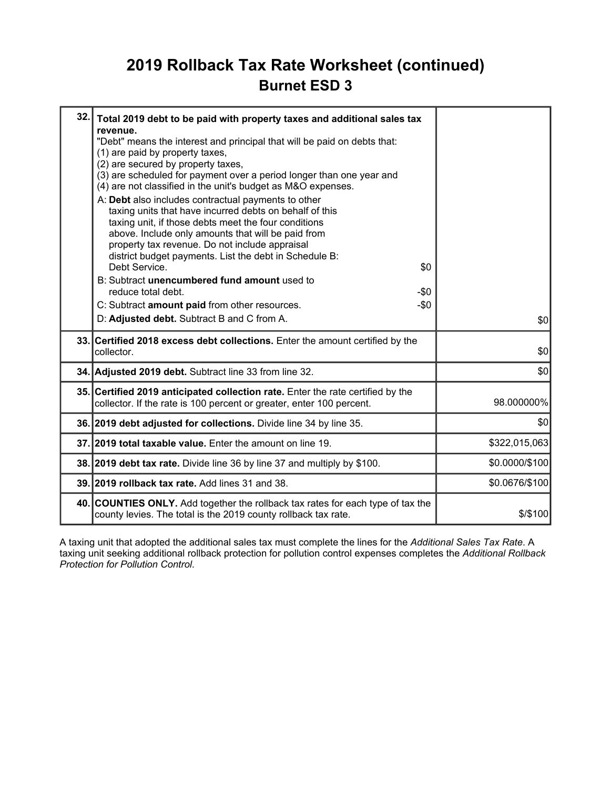### 2019 Rollback Tax Rate Worksheet (continued) Burnet ESD 3

| 32.1 | Total 2019 debt to be paid with property taxes and additional sales tax<br>revenue.<br>"Debt" means the interest and principal that will be paid on debts that:<br>(1) are paid by property taxes,<br>(2) are secured by property taxes,<br>(3) are scheduled for payment over a period longer than one year and<br>(4) are not classified in the unit's budget as M&O expenses.<br>A: Debt also includes contractual payments to other<br>taxing units that have incurred debts on behalf of this<br>taxing unit, if those debts meet the four conditions<br>above. Include only amounts that will be paid from<br>property tax revenue. Do not include appraisal<br>district budget payments. List the debt in Schedule B:<br>Debt Service.<br>\$0<br>B: Subtract unencumbered fund amount used to<br>reduce total debt.<br>-\$0<br>C: Subtract amount paid from other resources.<br>$-\$0$<br>D: Adjusted debt. Subtract B and C from A. | \$0            |
|------|---------------------------------------------------------------------------------------------------------------------------------------------------------------------------------------------------------------------------------------------------------------------------------------------------------------------------------------------------------------------------------------------------------------------------------------------------------------------------------------------------------------------------------------------------------------------------------------------------------------------------------------------------------------------------------------------------------------------------------------------------------------------------------------------------------------------------------------------------------------------------------------------------------------------------------------------|----------------|
|      | 33. Certified 2018 excess debt collections. Enter the amount certified by the<br>collector.                                                                                                                                                                                                                                                                                                                                                                                                                                                                                                                                                                                                                                                                                                                                                                                                                                                 | \$0            |
|      | 34. Adjusted 2019 debt. Subtract line 33 from line 32.                                                                                                                                                                                                                                                                                                                                                                                                                                                                                                                                                                                                                                                                                                                                                                                                                                                                                      | \$0            |
|      | 35. Certified 2019 anticipated collection rate. Enter the rate certified by the<br>collector. If the rate is 100 percent or greater, enter 100 percent.                                                                                                                                                                                                                                                                                                                                                                                                                                                                                                                                                                                                                                                                                                                                                                                     | 98.000000%     |
|      | 36. 2019 debt adjusted for collections. Divide line 34 by line 35.                                                                                                                                                                                                                                                                                                                                                                                                                                                                                                                                                                                                                                                                                                                                                                                                                                                                          | \$0            |
|      | 37.12019 total taxable value. Enter the amount on line 19.                                                                                                                                                                                                                                                                                                                                                                                                                                                                                                                                                                                                                                                                                                                                                                                                                                                                                  | \$322,015,063  |
|      | 38. 2019 debt tax rate. Divide line 36 by line 37 and multiply by \$100.                                                                                                                                                                                                                                                                                                                                                                                                                                                                                                                                                                                                                                                                                                                                                                                                                                                                    | \$0.0000/\$100 |
|      | 39. 2019 rollback tax rate. Add lines 31 and 38.                                                                                                                                                                                                                                                                                                                                                                                                                                                                                                                                                                                                                                                                                                                                                                                                                                                                                            | \$0.0676/\$100 |
|      | 40. COUNTIES ONLY. Add together the rollback tax rates for each type of tax the<br>county levies. The total is the 2019 county rollback tax rate.                                                                                                                                                                                                                                                                                                                                                                                                                                                                                                                                                                                                                                                                                                                                                                                           | $$$ /\$100     |

A taxing unit that adopted the additional sales tax must complete the lines for the Additional Sales Tax Rate. A taxing unit seeking additional rollback protection for pollution control expenses completes the Additional Rollback Protection for Pollution Control.